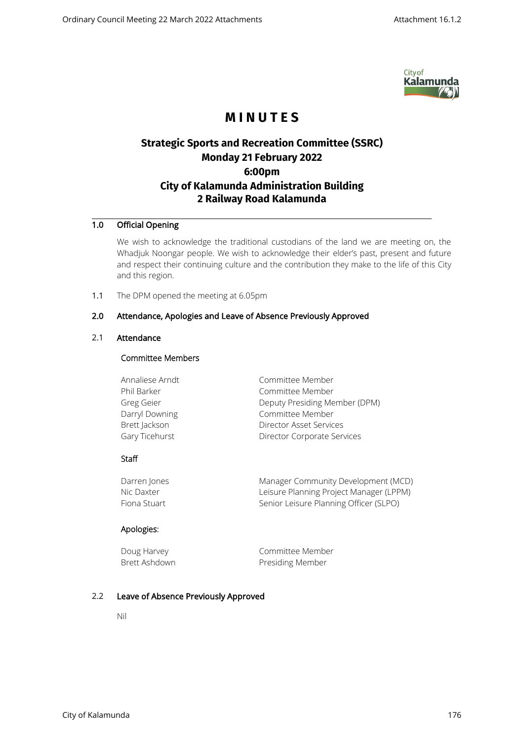

# **M I N U T E S**

## **Strategic Sports and Recreation Committee (SSRC) Monday 21 February 2022 6:00pm City of Kalamunda Administration Building 2 Railway Road Kalamunda**

## 1.0 Official Opening

We wish to acknowledge the traditional custodians of the land we are meeting on, the Whadjuk Noongar people. We wish to acknowledge their elder's past, present and future and respect their continuing culture and the contribution they make to the life of this City and this region.

1.1 The DPM opened the meeting at 6.05pm

## 2.0 Attendance, Apologies and Leave of Absence Previously Approved

## 2.1 Attendance

#### Committee Members

| Committee Member              |
|-------------------------------|
| Committee Member              |
| Deputy Presiding Member (DPM) |
| Committee Member              |
| Director Asset Services       |
| Director Corporate Services   |
|                               |

#### **Staff**

| Darren Jones | Manager Community Development (MCD)     |
|--------------|-----------------------------------------|
| Nic Daxter   | Leisure Planning Project Manager (LPPM) |
| Fiona Stuart | Senior Leisure Planning Officer (SLPO)  |

#### Apologies:

| Doug Harvey   | Committee Member        |
|---------------|-------------------------|
| Brett Ashdown | <b>Presiding Member</b> |

#### 2.2 Leave of Absence Previously Approved

Nil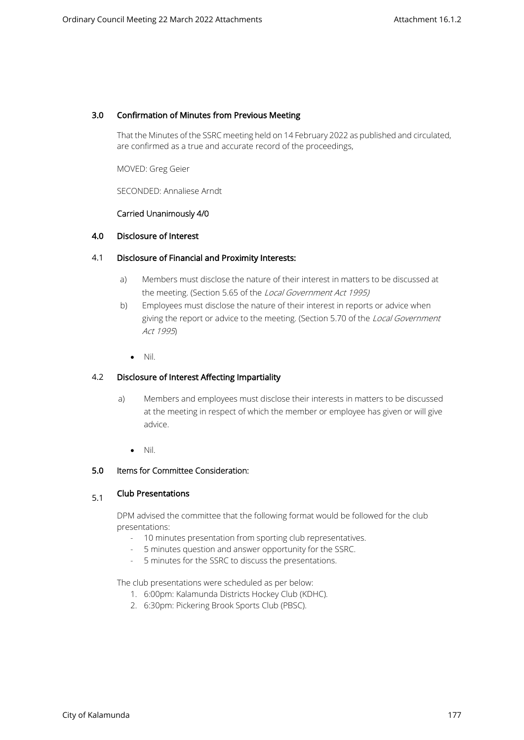#### 3.0 Confirmation of Minutes from Previous Meeting

That the Minutes of the SSRC meeting held on 14 February 2022 as published and circulated, are confirmed as a true and accurate record of the proceedings,

MOVED: Greg Geier

SECONDED: Annaliese Arndt

#### Carried Unanimously 4/0

#### 4.0 Disclosure of Interest

#### 4.1 Disclosure of Financial and Proximity Interests:

- a) Members must disclose the nature of their interest in matters to be discussed at the meeting. (Section 5.65 of the Local Government Act 1995)
- b) Employees must disclose the nature of their interest in reports or advice when giving the report or advice to the meeting. (Section 5.70 of the Local Government Act 1995)
	- Nil.

#### 4.2 Disclosure of Interest Affecting Impartiality

- a) Members and employees must disclose their interests in matters to be discussed at the meeting in respect of which the member or employee has given or will give advice.
	- Nil.

#### 5.0 Items for Committee Consideration:

## 5.1 Club Presentations

DPM advised the committee that the following format would be followed for the club presentations:

- 10 minutes presentation from sporting club representatives.
- 5 minutes question and answer opportunity for the SSRC.
- 5 minutes for the SSRC to discuss the presentations.

The club presentations were scheduled as per below:

- 1. 6:00pm: Kalamunda Districts Hockey Club (KDHC).
- 2. 6:30pm: Pickering Brook Sports Club (PBSC).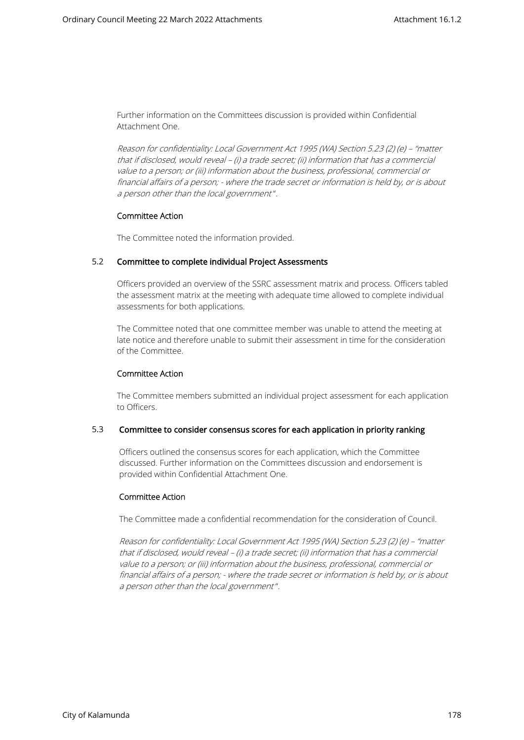Further information on the Committees discussion is provided within Confidential Attachment One.

Reason for confidentiality: Local Government Act 1995 (WA) Section 5.23 (2) (e) – "matter that if disclosed, would reveal – (i) a trade secret; (ii) information that has a commercial value to a person; or (iii) information about the business, professional, commercial or financial affairs of a person; - where the trade secret or information is held by, or is about a person other than the local government ".

#### Committee Action

The Committee noted the information provided.

#### 5.2 Committee to complete individual Project Assessments

Officers provided an overview of the SSRC assessment matrix and process. Officers tabled the assessment matrix at the meeting with adequate time allowed to complete individual assessments for both applications.

The Committee noted that one committee member was unable to attend the meeting at late notice and therefore unable to submit their assessment in time for the consideration of the Committee.

#### Committee Action

The Committee members submitted an individual project assessment for each application to Officers.

#### 5.3 Committee to consider consensus scores for each application in priority ranking

Officers outlined the consensus scores for each application, which the Committee discussed. Further information on the Committees discussion and endorsement is provided within Confidential Attachment One.

#### Committee Action

The Committee made a confidential recommendation for the consideration of Council.

Reason for confidentiality: Local Government Act 1995 (WA) Section 5.23 (2) (e) – "matter that if disclosed, would reveal – (i) a trade secret; (ii) information that has a commercial value to a person; or (iii) information about the business, professional, commercial or financial affairs of a person; - where the trade secret or information is held by, or is about a person other than the local government".